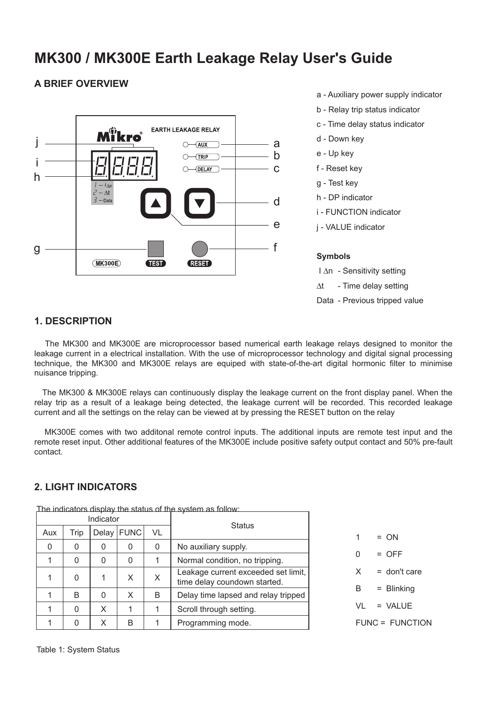# **MK300 / MK300E Earth Leakage Relay User's Guide**

#### **A BRIEF OVERVIEW**



- a Auxiliary power supply indicator
- b Relay trip status indicator
- c Time delay status indicator
- h DP indicator
- i FUNCTION indicator
- j VALUE indicator

I ∆n - Sensitivity setting

- ∆t Time delay setting
- Data Previous tripped value

#### **1. DESCRIPTION**

The MK300 and MK300E are microprocessor based numerical earth leakage relays designed to monitor the leakage current in a electrical installation. With the use of microprocessor technology and digital signal processing technique, the MK300 and MK300E relays are equiped with state-of-the-art digital hormonic filter to minimise nuisance tripping.

The MK300 & MK300E relays can continuously display the leakage current on the front display panel. When the relay trip as a result of a leakage being detected, the leakage current will be recorded. This recorded leakage current and all the settings on the relay can be viewed at by pressing the RESET button on the relay

MK300E comes with two additonal remote control inputs. The additional inputs are remote test input and the remote reset input. Other additional features of the MK300E include positive safety output contact and 50% pre-fault contact.

#### **2. LIGHT INDICATORS**

| Indicator |          |       |             |    | <b>Status</b>                                                       |
|-----------|----------|-------|-------------|----|---------------------------------------------------------------------|
| Aux       | Trip     | Delay | <b>FUNC</b> | VL |                                                                     |
| 0         | O        | 0     | 0           | 0  | No auxiliary supply.                                                |
|           | O        | 0     | 0           |    | Normal condition, no tripping.                                      |
|           | $\Omega$ | 1     | X           | X  | Leakage current exceeded set limit,<br>time delay coundown started. |
|           | R        | 0     | X           | B  | Delay time lapsed and relay tripped                                 |
|           | U        | X     |             |    | Scroll through setting.                                             |
|           |          | Χ     | B           |    | Programming mode.                                                   |

The indicators display the status of the system as follow:

| 1 | = ON                   |
|---|------------------------|
| 0 | $=$ OFF                |
| X | = don't care           |
| В | = Blinking             |
|   | VI = VAIUF             |
|   | <b>FUNC = FUNCTION</b> |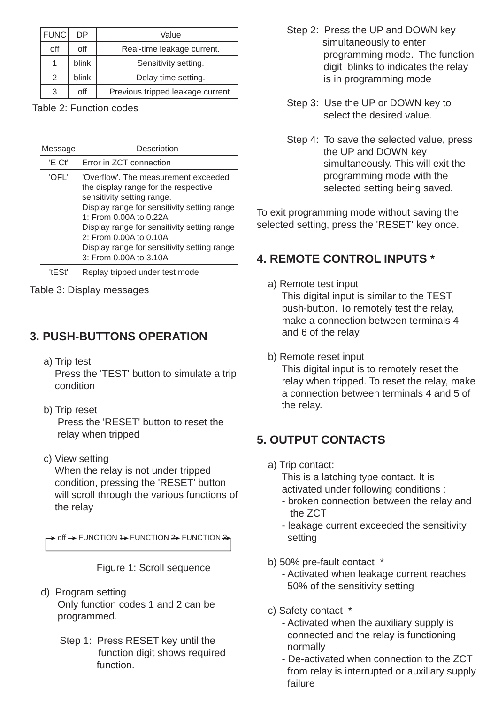| <b>FUNC</b>   | DP    | Value                             |
|---------------|-------|-----------------------------------|
| off           | off   | Real-time leakage current.        |
|               | blink | Sensitivity setting.              |
| $\mathcal{P}$ | blink | Delay time setting.               |
| 3             | off   | Previous tripped leakage current. |

Table 2: Function codes

| Message | Description                                                                                                                                                                                                                                                                                                                           |
|---------|---------------------------------------------------------------------------------------------------------------------------------------------------------------------------------------------------------------------------------------------------------------------------------------------------------------------------------------|
| 'E Ct'  | Error in ZCT connection                                                                                                                                                                                                                                                                                                               |
| 'OFL'   | 'Overflow'. The measurement exceeded<br>the display range for the respective<br>sensitivity setting range.<br>Display range for sensitivity setting range<br>1: From 0.00A to 0.22A<br>Display range for sensitivity setting range<br>2: From 0.00A to 0.10A<br>Display range for sensitivity setting range<br>3: From 0.00A to 3.10A |
| 'tESt   | Replay tripped under test mode                                                                                                                                                                                                                                                                                                        |

Table 3: Display messages

## **3. PUSH-BUTTONS OPERATION**

- a) Trip test Press the 'TEST' button to simulate a trip condition
- b) Trip reset Press the 'RESET' button to reset the relay when tripped
- c) View setting When the relay is not under tripped condition, pressing the 'RESET' button will scroll through the various functions of the relay

 $\triangleright$  off  $\rightarrow$  FUNCTION  $\rightarrow$  FUNCTION  $\rightarrow$ 

Figure 1: Scroll sequence

- d) Program setting Only function codes 1 and 2 can be programmed.
	- Step 1: Press RESET key until the function digit shows required function.
- Step 2: Press the UP and DOWN key simultaneously to enter programming mode. The function digit blinks to indicates the relay is in programming mode
- Step 3: Use the UP or DOWN key to select the desired value.
- Step 4: To save the selected value, press the UP and DOWN key simultaneously. This will exit the programming mode with the selected setting being saved.

To exit programming mode without saving the selected setting, press the 'RESET' key once.

## **4. REMOTE CONTROL INPUTS \***

- a) Remote test input This digital input is similar to the TEST push-button. To remotely test the relay, make a connection between terminals 4 and 6 of the relay.
- b) Remote reset input

This digital input is to remotely reset the relay when tripped. To reset the relay, make a connection between terminals 4 and 5 of the relay.

## **5. OUTPUT CONTACTS**

a) Trip contact:

This is a latching type contact. It is activated under following conditions :

- broken connection between the relay and the ZCT
- leakage current exceeded the sensitivity setting
- b) 50% pre-fault contact \*
	- Activated when leakage current reaches 50% of the sensitivity setting
- c) Safety contact \*
	- Activated when the auxiliary supply is connected and the relay is functioning normally
	- De-activated when connection to the ZCT from relay is interrupted or auxiliary supply failure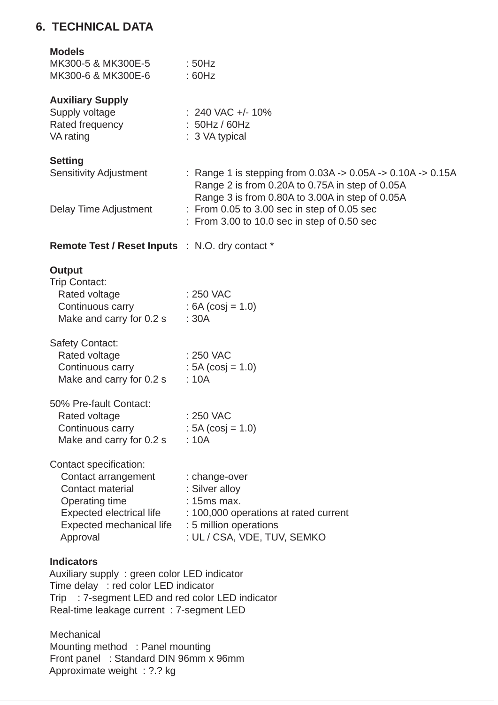### **6. TECHNICAL DATA**

#### **Models**

| MK300-5 & MK300E-5 | : 50Hz |
|--------------------|--------|
| MK300-6 & MK300E-6 | :60Hz  |

### **Auxiliary Supply**

| Supply voltage  | $: 240$ VAC +/- 10%       |
|-----------------|---------------------------|
| Rated frequency | : 50Hz / 60Hz             |
| VA rating       | $\therefore$ 3 VA typical |

#### **Setting**

Sensitivity Adjustment : Range 1 is stepping from 0.03A -> 0.05A -> 0.10A -> 0.15A

Delay Time Adjustment : From 0.05 to 3.00 sec in step of 0.05 sec

: From 3.00 to 10.0 sec in step of 0.50 sec

Range 2 is from 0.20A to 0.75A in step of 0.05A Range 3 is from 0.80A to 3.00A in step of 0.05A

**Remote Test / Reset Inputs** : N.O. dry contact \*

#### **Output**

| : 250 VAC           |
|---------------------|
| : $6A (cosj = 1.0)$ |
| : 30A               |
|                     |

| Safety Contact:          |                     |
|--------------------------|---------------------|
| Rated voltage            | : 250 VAC           |
| Continuous carry         | : $5A (cosi = 1.0)$ |
| Make and carry for 0.2 s | : 10A               |

| : 250 VAC           |
|---------------------|
| : $5A (cosi = 1.0)$ |
| : 10A               |
|                     |

|  | Contact specification: |
|--|------------------------|
|--|------------------------|

| Contact arrangement             | : change-over                         |
|---------------------------------|---------------------------------------|
| Contact material                | : Silver alloy                        |
| Operating time                  | $: 15ms$ max.                         |
| <b>Expected electrical life</b> | : 100,000 operations at rated current |
| Expected mechanical life        | : 5 million operations                |
| Approval                        | : UL / CSA, VDE, TUV, SEMKO           |

#### **Indicators**

Auxiliary supply : green color LED indicator Time delay : red color LED indicator Trip : 7-segment LED and red color LED indicator Real-time leakage current : 7-segment LED

**Mechanical** Mounting method : Panel mounting Front panel : Standard DIN 96mm x 96mm Approximate weight : ?.? kg